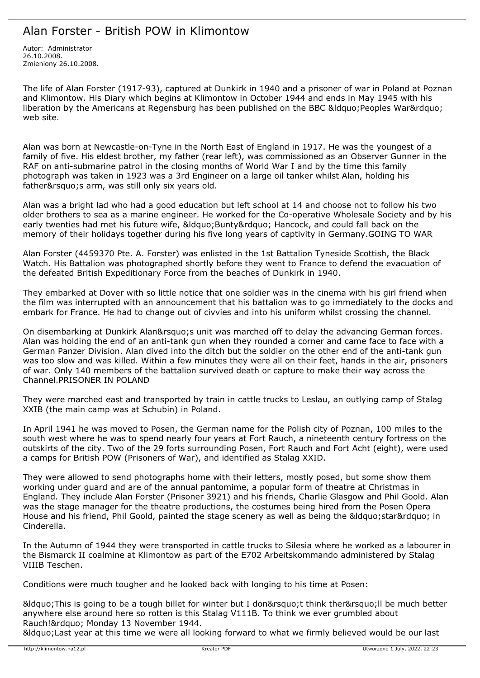# Alan Forster - British POW in Klimontow

Autor: Administrator 26.10.2008. Zmieniony 26.10.2008.

The life of Alan Forster (1917-93), captured at Dunkirk in 1940 and a prisoner of war in Poland at Poznan and Klimontow. His Diary which begins at Klimontow in October 1944 and ends in May 1945 with his liberation by the Americans at Regensburg has been published on the BBC &ldguo; Peoples War&rdguo; web site.

Alan was born at Newcastle-on-Tyne in the North East of England in 1917. He was the youngest of a family of five. His eldest brother, my father (rear left), was commissioned as an Observer Gunner in the RAF on anti-submarine patrol in the closing months of World War I and by the time this family photograph was taken in 1923 was a 3rd Engineer on a large oil tanker whilst Alan, holding his father' s arm, was still only six years old.

Alan was a bright lad who had a good education but left school at 14 and choose not to follow his two older brothers to sea as a marine engineer. He worked for the Co-operative Wholesale Society and by his early twenties had met his future wife, " Bunty " Hancock, and could fall back on the memory of their holidays together during his five long years of captivity in Germany.GOING TO WAR

Alan Forster (4459370 Pte. A. Forster) was enlisted in the 1st Battalion Tyneside Scottish, the Black Watch. His Battalion was photographed shortly before they went to France to defend the evacuation of the defeated British Expeditionary Force from the beaches of Dunkirk in 1940.

They embarked at Dover with so little notice that one soldier was in the cinema with his girl friend when the film was interrupted with an announcement that his battalion was to go immediately to the docks and embark for France. He had to change out of civvies and into his uniform whilst crossing the channel.

On disembarking at Dunkirk Alan' unit was marched off to delay the advancing German forces. Alan was holding the end of an anti-tank gun when they rounded a corner and came face to face with a German Panzer Division. Alan dived into the ditch but the soldier on the other end of the anti-tank gun was too slow and was killed. Within a few minutes they were all on their feet, hands in the air, prisoners of war. Only 140 members of the battalion survived death or capture to make their way across the Channel.PRISONER IN POLAND

They were marched east and transported by train in cattle trucks to Leslau, an outlying camp of Stalag XXIB (the main camp was at Schubin) in Poland.

In April 1941 he was moved to Posen, the German name for the Polish city of Poznan, 100 miles to the south west where he was to spend nearly four years at Fort Rauch, a nineteenth century fortress on the outskirts of the city. Two of the 29 forts surrounding Posen, Fort Rauch and Fort Acht (eight), were used a camps for British POW (Prisoners of War), and identified as Stalag XXID.

They were allowed to send photographs home with their letters, mostly posed, but some show them working under guard and are of the annual pantomime, a popular form of theatre at Christmas in England. They include Alan Forster (Prisoner 3921) and his friends, Charlie Glasgow and Phil Goold. Alan was the stage manager for the theatre productions, the costumes being hired from the Posen Opera House and his friend, Phil Goold, painted the stage scenery as well as being the " star" in Cinderella.

In the Autumn of 1944 they were transported in cattle trucks to Silesia where he worked as a labourer in the Bismarck II coalmine at Klimontow as part of the E702 Arbeitskommando administered by Stalag VIIIB Teschen.

Conditions were much tougher and he looked back with longing to his time at Posen:

&Idquo; This is going to be a tough billet for winter but I don' t think ther' Il be much better anywhere else around here so rotten is this Stalag V111B. To think we ever grumbled about Rauch! & rdquo; Monday 13 November 1944.

"Last year at this time we were all looking forward to what we firmly believed would be our last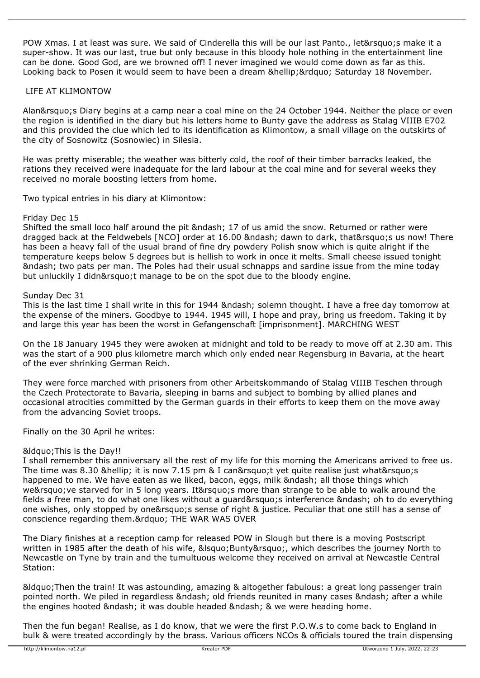POW Xmas. I at least was sure. We said of Cinderella this will be our last Panto., let' smake it a super-show. It was our last, true but only because in this bloody hole nothing in the entertainment line can be done. Good God, are we browned off! I never imagined we would come down as far as this. Looking back to Posen it would seem to have been a dream … " Saturday 18 November.

## LIFE AT KLIMONTOW

Alan&rsquo:s Diary begins at a camp near a coal mine on the 24 October 1944. Neither the place or even the region is identified in the diary but his letters home to Bunty gave the address as Stalag VIIIB E702 and this provided the clue which led to its identification as Klimontow, a small village on the outskirts of the city of Sosnowitz (Sosnowiec) in Silesia.

He was pretty miserable; the weather was bitterly cold, the roof of their timber barracks leaked, the rations they received were inadequate for the lard labour at the coal mine and for several weeks they received no morale boosting letters from home.

Two typical entries in his diary at Klimontow:

#### Friday Dec 15

Shifted the small loco half around the pit – 17 of us amid the snow. Returned or rather were dragged back at the Feldwebels [NCO] order at 16.00 – dawn to dark, that' us now! There has been a heavy fall of the usual brand of fine dry powdery Polish snow which is quite alright if the temperature keeps below 5 degrees but is hellish to work in once it melts. Small cheese issued tonight – two pats per man. The Poles had their usual schnapps and sardine issue from the mine today but unluckily I didn't manage to be on the spot due to the bloody engine.

### Sunday Dec 31

This is the last time I shall write in this for 1944 &ndash: solemn thought. I have a free day tomorrow at the expense of the miners. Goodbye to 1944. 1945 will, I hope and pray, bring us freedom. Taking it by and large this year has been the worst in Gefangenschaft [imprisonment]. MARCHING WEST

On the 18 January 1945 they were awoken at midnight and told to be ready to move off at 2.30 am. This was the start of a 900 plus kilometre march which only ended near Regensburg in Bavaria, at the heart of the ever shrinking German Reich.

They were force marched with prisoners from other Arbeitskommando of Stalag VIIIB Teschen through the Czech Protectorate to Bavaria, sleeping in barns and subject to bombing by allied planes and occasional atrocities committed by the German guards in their efforts to keep them on the move away from the advancing Soviet troops.

Finally on the 30 April he writes:

#### &Idguo; This is the Day!!

I shall remember this anniversary all the rest of my life for this morning the Americans arrived to free us. The time was 8.30 … it is now 7.15 pm & I can't yet quite realise just what's happened to me. We have eaten as we liked, bacon, eggs, milk – all those things which we' ve starved for in 5 long years. It' s more than strange to be able to walk around the fields a free man, to do what one likes without a guard&rsquo:s interference – oh to do everything one wishes, only stopped by one' s sense of right & justice. Peculiar that one still has a sense of conscience regarding them." THE WAR WAS OVER

The Diary finishes at a reception camp for released POW in Slough but there is a moving Postscript written in 1985 after the death of his wife, ' Bunty', which describes the journey North to Newcastle on Tyne by train and the tumultuous welcome they received on arrival at Newcastle Central Station:

"Then the train! It was astounding, amazing & altogether fabulous: a great long passenger train pointed north. We piled in regardless & ndash: old friends reunited in many cases & ndash: after a while the engines hooted & ndash: it was double headed & ndash: & we were heading home.

Then the fun began! Realise, as I do know, that we were the first P.O.W.s to come back to England in bulk & were treated accordingly by the brass. Various officers NCOs & officials toured the train dispensing